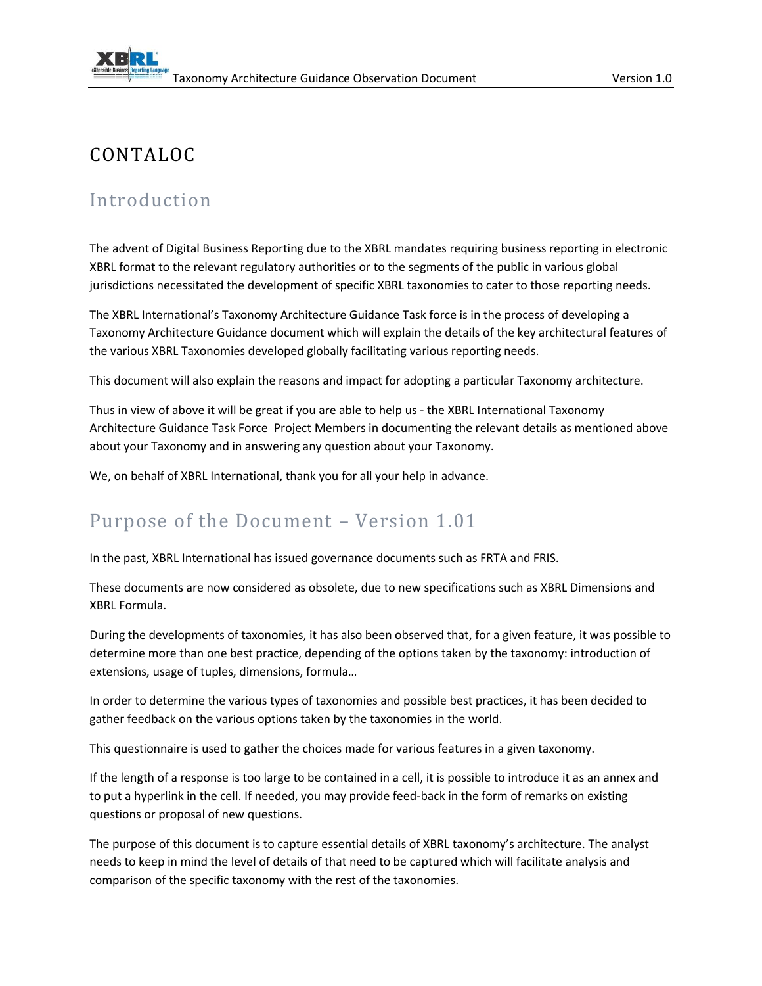## CONTALOC

## Introduction

The advent of Digital Business Reporting due to the XBRL mandates requiring business reporting in electronic XBRL format to the relevant regulatory authorities or to the segments of the public in various global jurisdictions necessitated the development of specific XBRL taxonomies to cater to those reporting needs.

The XBRL International's Taxonomy Architecture Guidance Task force is in the process of developing a Taxonomy Architecture Guidance document which will explain the details of the key architectural features of the various XBRL Taxonomies developed globally facilitating various reporting needs.

This document will also explain the reasons and impact for adopting a particular Taxonomy architecture.

Thus in view of above it will be great if you are able to help us - the XBRL International Taxonomy Architecture Guidance Task Force Project Members in documenting the relevant details as mentioned above about your Taxonomy and in answering any question about your Taxonomy.

We, on behalf of XBRL International, thank you for all your help in advance.

## Purpose of the Document – Version 1.01

In the past, XBRL International has issued governance documents such as FRTA and FRIS.

These documents are now considered as obsolete, due to new specifications such as XBRL Dimensions and XBRL Formula.

During the developments of taxonomies, it has also been observed that, for a given feature, it was possible to determine more than one best practice, depending of the options taken by the taxonomy: introduction of extensions, usage of tuples, dimensions, formula…

In order to determine the various types of taxonomies and possible best practices, it has been decided to gather feedback on the various options taken by the taxonomies in the world.

This questionnaire is used to gather the choices made for various features in a given taxonomy.

If the length of a response is too large to be contained in a cell, it is possible to introduce it as an annex and to put a hyperlink in the cell. If needed, you may provide feed-back in the form of remarks on existing questions or proposal of new questions.

The purpose of this document is to capture essential details of XBRL taxonomy's architecture. The analyst needs to keep in mind the level of details of that need to be captured which will facilitate analysis and comparison of the specific taxonomy with the rest of the taxonomies.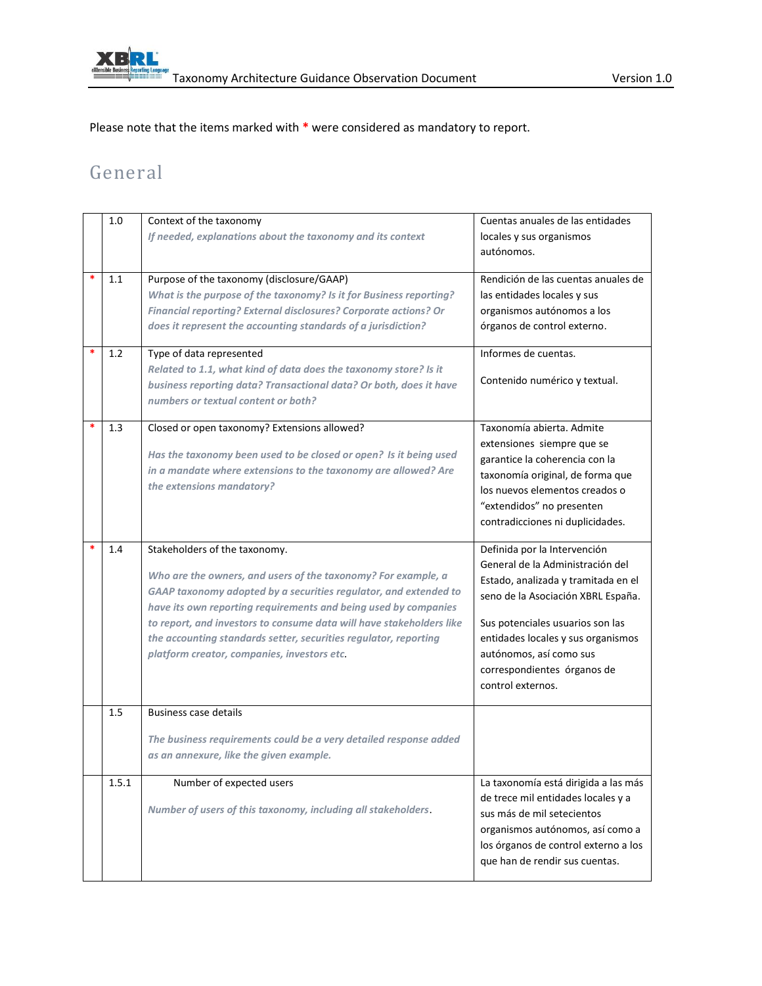

Please note that the items marked with **\*** were considered as mandatory to report.

## General

|   | 1.0   | Context of the taxonomy<br>If needed, explanations about the taxonomy and its context                                                                                                                                                                                                                                                                                                                                            | Cuentas anuales de las entidades<br>locales y sus organismos<br>autónomos.                                                                                                                                                                                                                             |
|---|-------|----------------------------------------------------------------------------------------------------------------------------------------------------------------------------------------------------------------------------------------------------------------------------------------------------------------------------------------------------------------------------------------------------------------------------------|--------------------------------------------------------------------------------------------------------------------------------------------------------------------------------------------------------------------------------------------------------------------------------------------------------|
| * | 1.1   | Purpose of the taxonomy (disclosure/GAAP)<br>What is the purpose of the taxonomy? Is it for Business reporting?<br>Financial reporting? External disclosures? Corporate actions? Or<br>does it represent the accounting standards of a jurisdiction?                                                                                                                                                                             | Rendición de las cuentas anuales de<br>las entidades locales y sus<br>organismos autónomos a los<br>órganos de control externo.                                                                                                                                                                        |
|   | 1.2   | Type of data represented<br>Related to 1.1, what kind of data does the taxonomy store? Is it<br>business reporting data? Transactional data? Or both, does it have<br>numbers or textual content or both?                                                                                                                                                                                                                        | Informes de cuentas.<br>Contenido numérico y textual.                                                                                                                                                                                                                                                  |
|   | 1.3   | Closed or open taxonomy? Extensions allowed?<br>Has the taxonomy been used to be closed or open? Is it being used<br>in a mandate where extensions to the taxonomy are allowed? Are<br>the extensions mandatory?                                                                                                                                                                                                                 | Taxonomía abierta. Admite<br>extensiones siempre que se<br>garantice la coherencia con la<br>taxonomía original, de forma que<br>los nuevos elementos creados o<br>"extendidos" no presenten<br>contradicciones ni duplicidades.                                                                       |
|   | 1.4   | Stakeholders of the taxonomy.<br>Who are the owners, and users of the taxonomy? For example, a<br>GAAP taxonomy adopted by a securities regulator, and extended to<br>have its own reporting requirements and being used by companies<br>to report, and investors to consume data will have stakeholders like<br>the accounting standards setter, securities regulator, reporting<br>platform creator, companies, investors etc. | Definida por la Intervención<br>General de la Administración del<br>Estado, analizada y tramitada en el<br>seno de la Asociación XBRL España.<br>Sus potenciales usuarios son las<br>entidades locales y sus organismos<br>autónomos, así como sus<br>correspondientes órganos de<br>control externos. |
|   | 1.5   | <b>Business case details</b><br>The business requirements could be a very detailed response added<br>as an annexure, like the given example.                                                                                                                                                                                                                                                                                     |                                                                                                                                                                                                                                                                                                        |
|   | 1.5.1 | Number of expected users<br>Number of users of this taxonomy, including all stakeholders.                                                                                                                                                                                                                                                                                                                                        | La taxonomía está dirigida a las más<br>de trece mil entidades locales y a<br>sus más de mil setecientos<br>organismos autónomos, así como a<br>los órganos de control externo a los<br>que han de rendir sus cuentas.                                                                                 |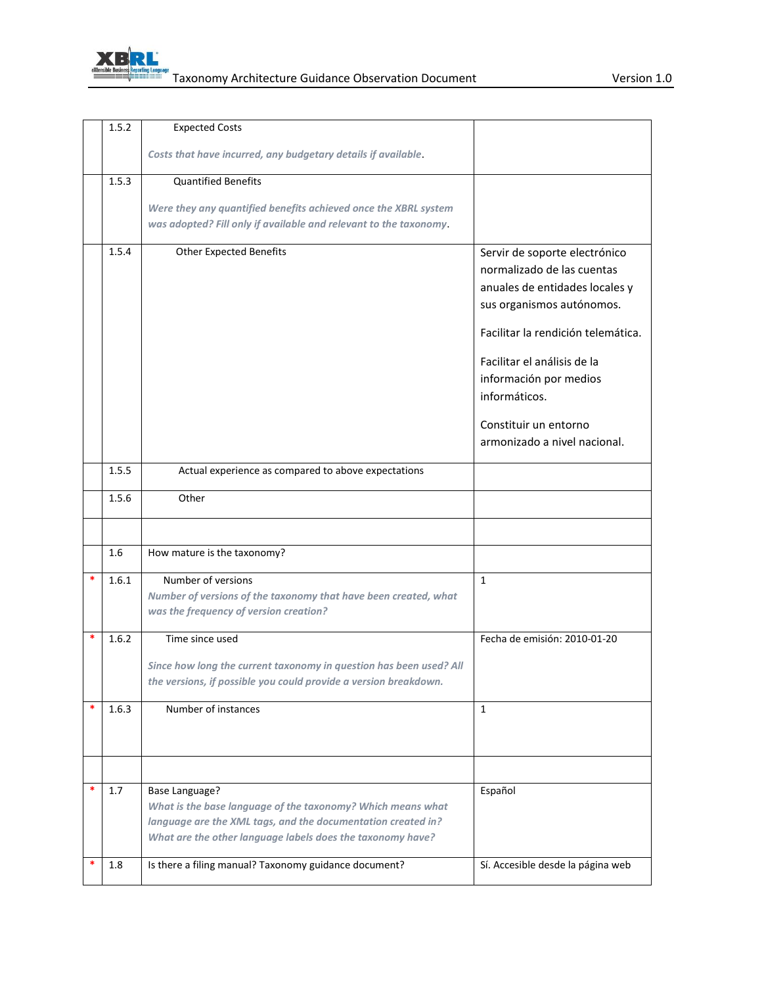

|   | 1.5.2 | <b>Expected Costs</b>                                                                                                                                                                                              |                                                                                                                                                                                                                                                                                                     |
|---|-------|--------------------------------------------------------------------------------------------------------------------------------------------------------------------------------------------------------------------|-----------------------------------------------------------------------------------------------------------------------------------------------------------------------------------------------------------------------------------------------------------------------------------------------------|
|   |       | Costs that have incurred, any budgetary details if available.                                                                                                                                                      |                                                                                                                                                                                                                                                                                                     |
|   | 1.5.3 | <b>Quantified Benefits</b>                                                                                                                                                                                         |                                                                                                                                                                                                                                                                                                     |
|   |       | Were they any quantified benefits achieved once the XBRL system                                                                                                                                                    |                                                                                                                                                                                                                                                                                                     |
|   |       | was adopted? Fill only if available and relevant to the taxonomy.                                                                                                                                                  |                                                                                                                                                                                                                                                                                                     |
|   | 1.5.4 | <b>Other Expected Benefits</b>                                                                                                                                                                                     | Servir de soporte electrónico<br>normalizado de las cuentas<br>anuales de entidades locales y<br>sus organismos autónomos.<br>Facilitar la rendición telemática.<br>Facilitar el análisis de la<br>información por medios<br>informáticos.<br>Constituir un entorno<br>armonizado a nivel nacional. |
|   | 1.5.5 | Actual experience as compared to above expectations                                                                                                                                                                |                                                                                                                                                                                                                                                                                                     |
|   | 1.5.6 | Other                                                                                                                                                                                                              |                                                                                                                                                                                                                                                                                                     |
|   |       |                                                                                                                                                                                                                    |                                                                                                                                                                                                                                                                                                     |
|   |       |                                                                                                                                                                                                                    |                                                                                                                                                                                                                                                                                                     |
|   | 1.6   | How mature is the taxonomy?                                                                                                                                                                                        |                                                                                                                                                                                                                                                                                                     |
| * | 1.6.1 | Number of versions<br>Number of versions of the taxonomy that have been created, what<br>was the frequency of version creation?                                                                                    | $\mathbf{1}$                                                                                                                                                                                                                                                                                        |
| * | 1.6.2 | Time since used<br>Since how long the current taxonomy in question has been used? All<br>the versions, if possible you could provide a version breakdown.                                                          | Fecha de emisión: 2010-01-20                                                                                                                                                                                                                                                                        |
|   | 1.6.3 | Number of instances                                                                                                                                                                                                | $\mathbf{1}$                                                                                                                                                                                                                                                                                        |
|   |       |                                                                                                                                                                                                                    |                                                                                                                                                                                                                                                                                                     |
| ∗ | 1.7   | <b>Base Language?</b><br>What is the base language of the taxonomy? Which means what<br>language are the XML tags, and the documentation created in?<br>What are the other language labels does the taxonomy have? | Español                                                                                                                                                                                                                                                                                             |
|   | 1.8   | Is there a filing manual? Taxonomy guidance document?                                                                                                                                                              | Sí. Accesible desde la página web                                                                                                                                                                                                                                                                   |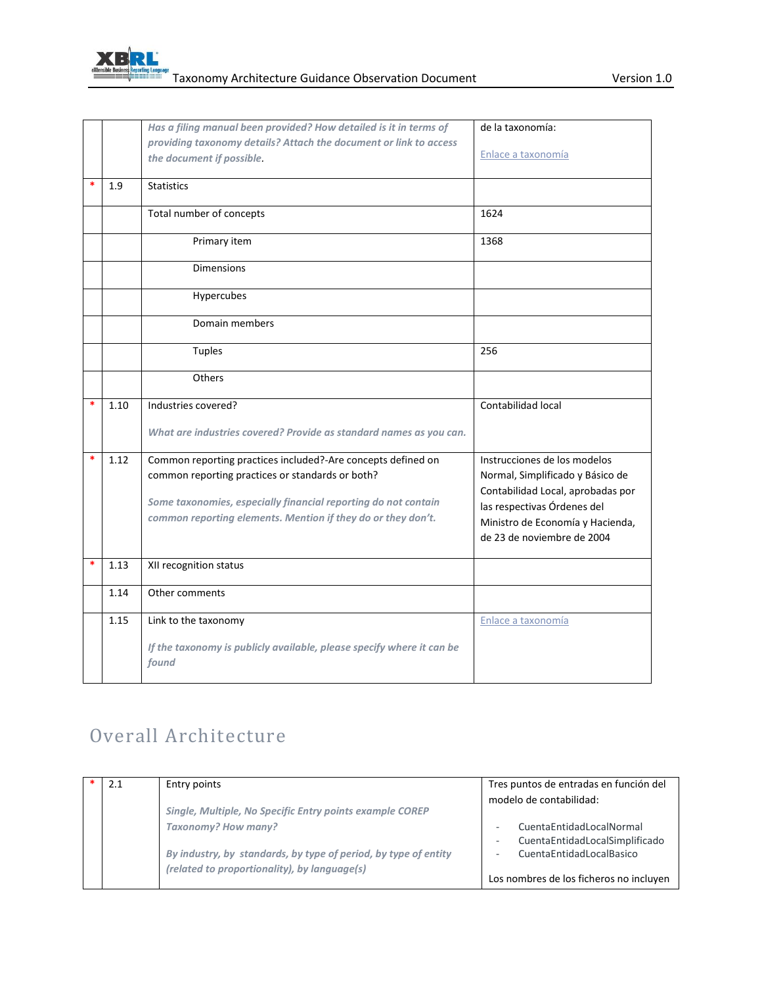

|   |      | Has a filing manual been provided? How detailed is it in terms of              | de la taxonomía:                  |
|---|------|--------------------------------------------------------------------------------|-----------------------------------|
|   |      | providing taxonomy details? Attach the document or link to access              |                                   |
|   |      | the document if possible.                                                      | Enlace a taxonomía                |
| * | 1.9  | <b>Statistics</b>                                                              |                                   |
|   |      | Total number of concepts                                                       | 1624                              |
|   |      | Primary item                                                                   | 1368                              |
|   |      | <b>Dimensions</b>                                                              |                                   |
|   |      | Hypercubes                                                                     |                                   |
|   |      | Domain members                                                                 |                                   |
|   |      | <b>Tuples</b>                                                                  | 256                               |
|   |      | Others                                                                         |                                   |
|   | 1.10 | Industries covered?                                                            | Contabilidad local                |
|   |      | What are industries covered? Provide as standard names as you can.             |                                   |
|   | 1.12 | Common reporting practices included?-Are concepts defined on                   | Instrucciones de los modelos      |
|   |      | common reporting practices or standards or both?                               | Normal, Simplificado y Básico de  |
|   |      | Some taxonomies, especially financial reporting do not contain                 | Contabilidad Local, aprobadas por |
|   |      | common reporting elements. Mention if they do or they don't.                   | las respectivas Órdenes del       |
|   |      |                                                                                | Ministro de Economía y Hacienda,  |
|   |      |                                                                                | de 23 de noviembre de 2004        |
| * | 1.13 | XII recognition status                                                         |                                   |
|   | 1.14 | Other comments                                                                 |                                   |
|   | 1.15 | Link to the taxonomy                                                           | Enlace a taxonomía                |
|   |      | If the taxonomy is publicly available, please specify where it can be<br>found |                                   |

# Overall Architecture

| 2.1 | Entry points                                                    | Tres puntos de entradas en función del  |
|-----|-----------------------------------------------------------------|-----------------------------------------|
|     |                                                                 |                                         |
|     |                                                                 | modelo de contabilidad:                 |
|     | Single, Multiple, No Specific Entry points example COREP        |                                         |
|     | <b>Taxonomy? How many?</b>                                      | CuentaEntidadLocalNormal                |
|     |                                                                 | CuentaEntidadLocalSimplificado          |
|     | By industry, by standards, by type of period, by type of entity | CuentaEntidadLocalBasico                |
|     | (related to proportionality), by language(s)                    |                                         |
|     |                                                                 | Los nombres de los ficheros no incluyen |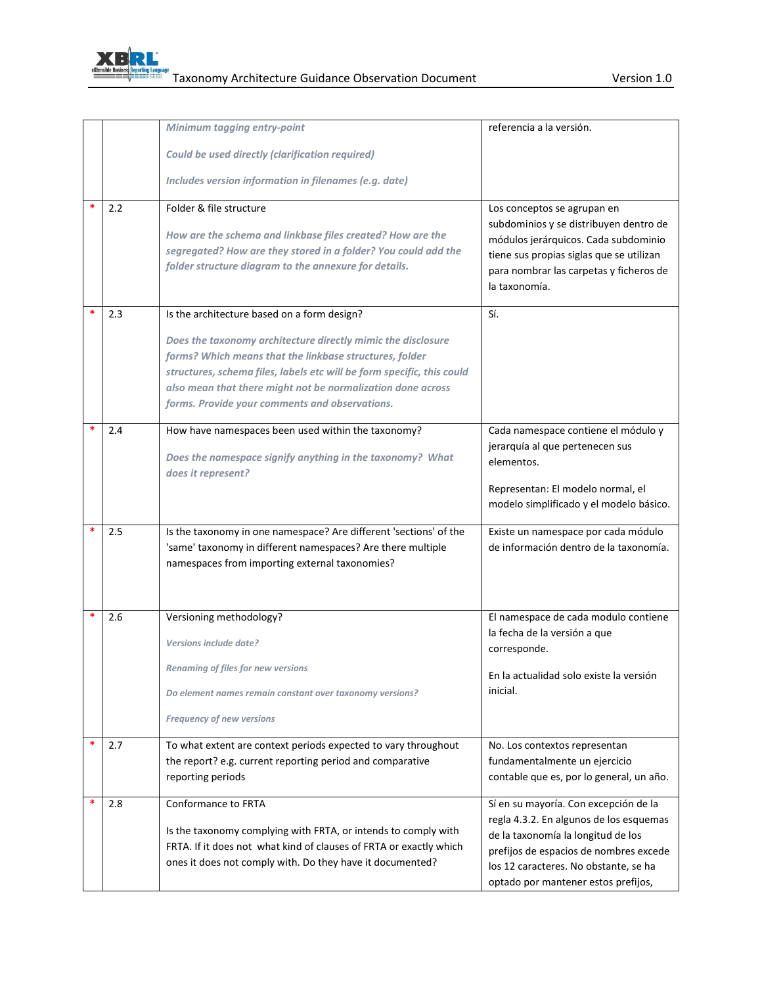

|     | Minimum tagging entry-point                                                                                                          | referencia a la versión.                                                       |
|-----|--------------------------------------------------------------------------------------------------------------------------------------|--------------------------------------------------------------------------------|
|     | Could be used directly (clarification required)                                                                                      |                                                                                |
|     |                                                                                                                                      |                                                                                |
|     | Includes version information in filenames (e.g. date)                                                                                |                                                                                |
| 2.2 | Folder & file structure                                                                                                              | Los conceptos se agrupan en                                                    |
|     | How are the schema and linkbase files created? How are the                                                                           | subdominios y se distribuyen dentro de<br>módulos jerárquicos. Cada subdominio |
|     | segregated? How are they stored in a folder? You could add the                                                                       | tiene sus propias siglas que se utilizan                                       |
|     | folder structure diagram to the annexure for details.                                                                                | para nombrar las carpetas y ficheros de                                        |
|     |                                                                                                                                      | la taxonomía.                                                                  |
| 2.3 | Is the architecture based on a form design?                                                                                          | Sí.                                                                            |
|     | Does the taxonomy architecture directly mimic the disclosure                                                                         |                                                                                |
|     | forms? Which means that the linkbase structures, folder                                                                              |                                                                                |
|     | structures, schema files, labels etc will be form specific, this could                                                               |                                                                                |
|     | also mean that there might not be normalization done across                                                                          |                                                                                |
|     | forms. Provide your comments and observations.                                                                                       |                                                                                |
| 2.4 | How have namespaces been used within the taxonomy?                                                                                   | Cada namespace contiene el módulo y                                            |
|     |                                                                                                                                      | jerarquía al que pertenecen sus                                                |
|     | Does the namespace signify anything in the taxonomy? What<br>does it represent?                                                      | elementos.                                                                     |
|     |                                                                                                                                      | Representan: El modelo normal, el                                              |
|     |                                                                                                                                      | modelo simplificado y el modelo básico.                                        |
|     |                                                                                                                                      |                                                                                |
| 2.5 | Is the taxonomy in one namespace? Are different 'sections' of the<br>'same' taxonomy in different namespaces? Are there multiple     | Existe un namespace por cada módulo<br>de información dentro de la taxonomía.  |
|     | namespaces from importing external taxonomies?                                                                                       |                                                                                |
|     |                                                                                                                                      |                                                                                |
|     |                                                                                                                                      |                                                                                |
| 2.6 | Versioning methodology?                                                                                                              | El namespace de cada modulo contiene                                           |
|     | Versions include date?                                                                                                               | la fecha de la versión a que                                                   |
|     |                                                                                                                                      | corresponde.                                                                   |
|     | Renaming of files for new versions                                                                                                   | En la actualidad solo existe la versión                                        |
|     | Do element names remain constant over taxonomy versions?                                                                             | inicial.                                                                       |
|     | Frequency of new versions                                                                                                            |                                                                                |
| 2.7 | To what extent are context periods expected to vary throughout                                                                       | No. Los contextos representan                                                  |
|     | the report? e.g. current reporting period and comparative                                                                            | fundamentalmente un ejercicio                                                  |
|     | reporting periods                                                                                                                    | contable que es, por lo general, un año.                                       |
| 2.8 | Conformance to FRTA                                                                                                                  | Sí en su mayoría. Con excepción de la                                          |
|     |                                                                                                                                      | regla 4.3.2. En algunos de los esquemas                                        |
|     | Is the taxonomy complying with FRTA, or intends to comply with<br>FRTA. If it does not what kind of clauses of FRTA or exactly which | de la taxonomía la longitud de los                                             |
|     | ones it does not comply with. Do they have it documented?                                                                            | prefijos de espacios de nombres excede                                         |
|     |                                                                                                                                      | los 12 caracteres. No obstante, se ha<br>optado por mantener estos prefijos,   |
|     |                                                                                                                                      |                                                                                |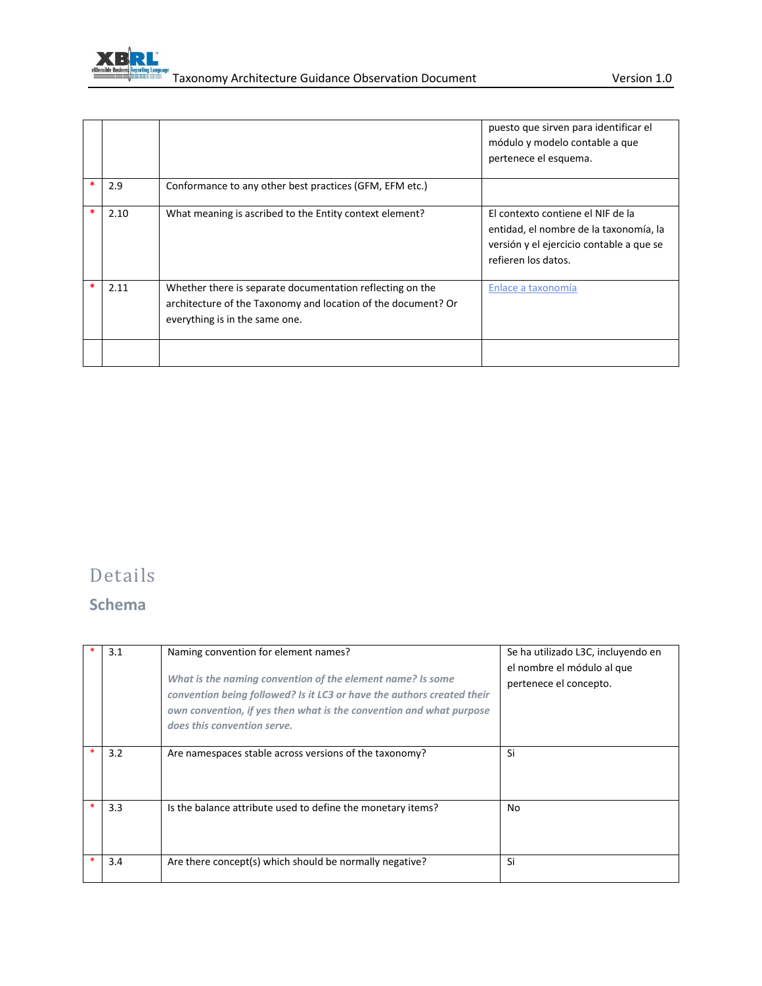

|   |      |                                                                                                                                                              | puesto que sirven para identificar el<br>módulo y modelo contable a que<br>pertenece el esquema.                                               |
|---|------|--------------------------------------------------------------------------------------------------------------------------------------------------------------|------------------------------------------------------------------------------------------------------------------------------------------------|
| * | 2.9  | Conformance to any other best practices (GFM, EFM etc.)                                                                                                      |                                                                                                                                                |
| * | 2.10 | What meaning is ascribed to the Entity context element?                                                                                                      | El contexto contiene el NIF de la<br>entidad, el nombre de la taxonomía, la<br>versión y el ejercicio contable a que se<br>refieren los datos. |
|   | 2.11 | Whether there is separate documentation reflecting on the<br>architecture of the Taxonomy and location of the document? Or<br>everything is in the same one. | Enlace a taxonomía                                                                                                                             |
|   |      |                                                                                                                                                              |                                                                                                                                                |

# Details

### **Schema**

| 3.1 | Naming convention for element names?<br>What is the naming convention of the element name? Is some<br>convention being followed? Is it LC3 or have the authors created their<br>own convention, if yes then what is the convention and what purpose<br>does this convention serve. | Se ha utilizado L3C, incluyendo en<br>el nombre el módulo al que<br>pertenece el concepto. |
|-----|------------------------------------------------------------------------------------------------------------------------------------------------------------------------------------------------------------------------------------------------------------------------------------|--------------------------------------------------------------------------------------------|
| 3.2 | Are namespaces stable across versions of the taxonomy?                                                                                                                                                                                                                             | Si                                                                                         |
| 3.3 | Is the balance attribute used to define the monetary items?                                                                                                                                                                                                                        | No                                                                                         |
| 3.4 | Are there concept(s) which should be normally negative?                                                                                                                                                                                                                            | Si                                                                                         |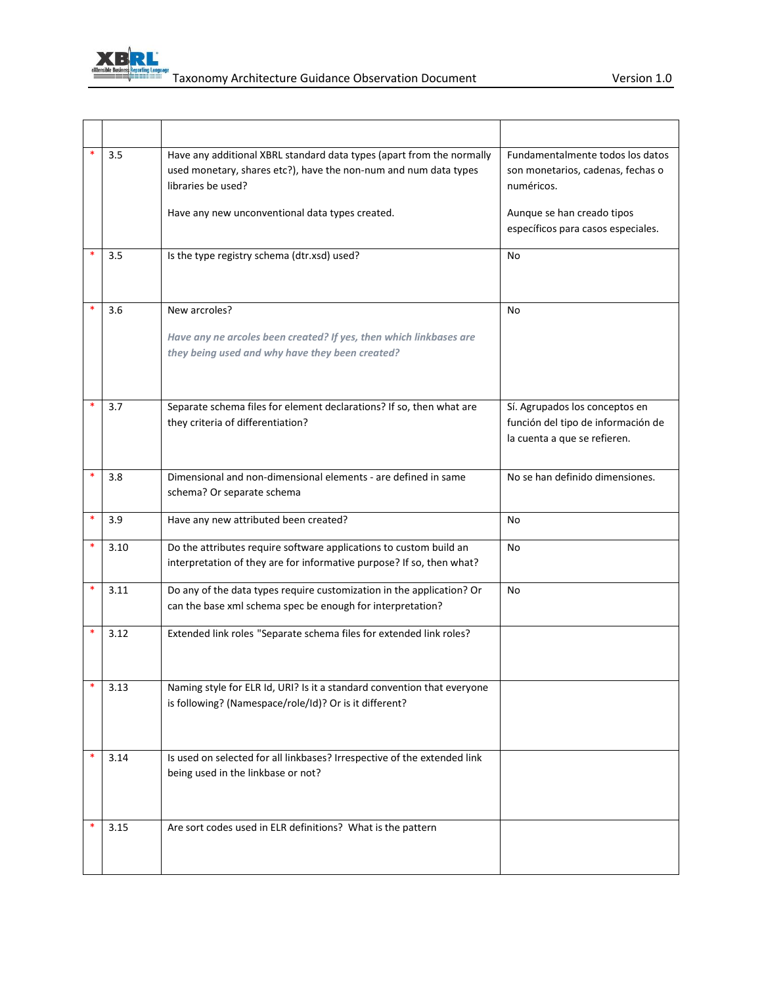

|        | 3.5  | Have any additional XBRL standard data types (apart from the normally<br>used monetary, shares etc?), have the non-num and num data types<br>libraries be used? | Fundamentalmente todos los datos<br>son monetarios, cadenas, fechas o<br>numéricos.                  |
|--------|------|-----------------------------------------------------------------------------------------------------------------------------------------------------------------|------------------------------------------------------------------------------------------------------|
|        |      | Have any new unconventional data types created.                                                                                                                 | Aunque se han creado tipos<br>específicos para casos especiales.                                     |
|        | 3.5  | Is the type registry schema (dtr.xsd) used?                                                                                                                     | No                                                                                                   |
|        | 3.6  | New arcroles?<br>Have any ne arcoles been created? If yes, then which linkbases are<br>they being used and why have they been created?                          | No                                                                                                   |
|        | 3.7  | Separate schema files for element declarations? If so, then what are<br>they criteria of differentiation?                                                       | Sí. Agrupados los conceptos en<br>función del tipo de información de<br>la cuenta a que se refieren. |
|        | 3.8  | Dimensional and non-dimensional elements - are defined in same<br>schema? Or separate schema                                                                    | No se han definido dimensiones.                                                                      |
| $\ast$ | 3.9  | Have any new attributed been created?                                                                                                                           | No                                                                                                   |
|        | 3.10 | Do the attributes require software applications to custom build an<br>interpretation of they are for informative purpose? If so, then what?                     | No                                                                                                   |
| $\ast$ | 3.11 | Do any of the data types require customization in the application? Or<br>can the base xml schema spec be enough for interpretation?                             | No                                                                                                   |
|        | 3.12 | Extended link roles "Separate schema files for extended link roles?                                                                                             |                                                                                                      |
|        | 3.13 | Naming style for ELR Id, URI? Is it a standard convention that everyone<br>is following? (Namespace/role/Id)? Or is it different?                               |                                                                                                      |
| *      | 3.14 | Is used on selected for all linkbases? Irrespective of the extended link<br>being used in the linkbase or not?                                                  |                                                                                                      |
|        | 3.15 | Are sort codes used in ELR definitions? What is the pattern                                                                                                     |                                                                                                      |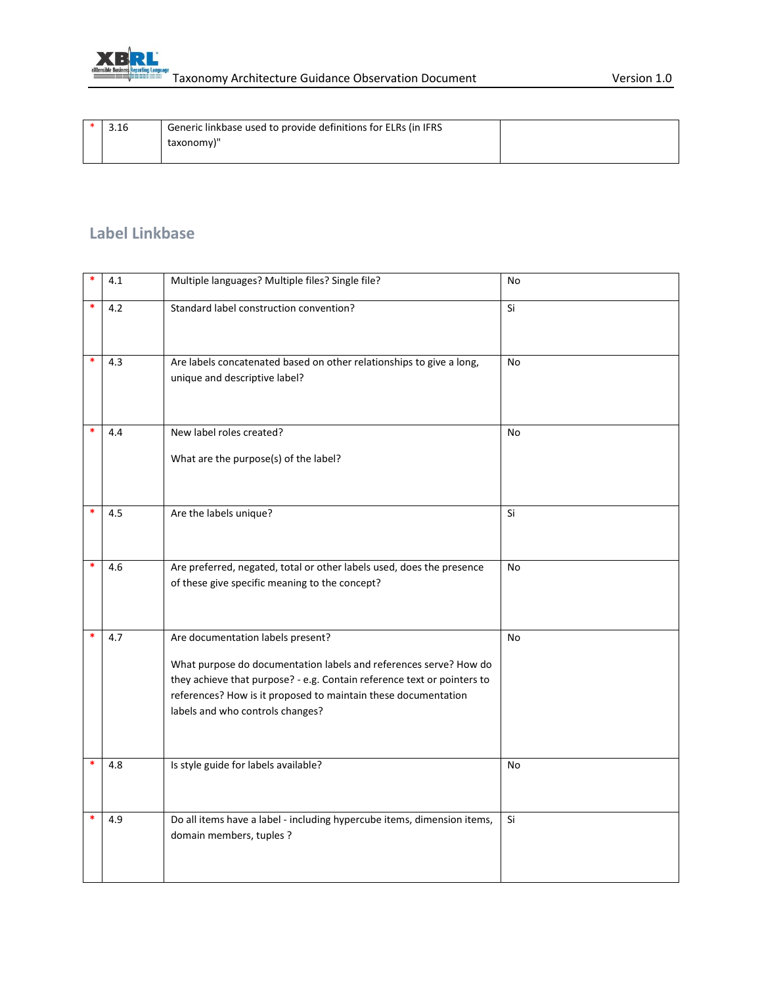

|  | Generic linkbase used to provide definitions for ELRs (in IFRS |  |
|--|----------------------------------------------------------------|--|
|  | taxonomy)"                                                     |  |
|  |                                                                |  |

#### **Label Linkbase**

| *      | 4.1 | Multiple languages? Multiple files? Single file?                                                                                                                                                                                                                                        | No        |
|--------|-----|-----------------------------------------------------------------------------------------------------------------------------------------------------------------------------------------------------------------------------------------------------------------------------------------|-----------|
| *      | 4.2 | Standard label construction convention?                                                                                                                                                                                                                                                 | Si        |
| $\ast$ | 4.3 | Are labels concatenated based on other relationships to give a long,<br>unique and descriptive label?                                                                                                                                                                                   | No        |
| *      | 4.4 | New label roles created?<br>What are the purpose(s) of the label?                                                                                                                                                                                                                       | <b>No</b> |
| *      | 4.5 | Are the labels unique?                                                                                                                                                                                                                                                                  | Si        |
| *      | 4.6 | Are preferred, negated, total or other labels used, does the presence<br>of these give specific meaning to the concept?                                                                                                                                                                 | No        |
| *      | 4.7 | Are documentation labels present?<br>What purpose do documentation labels and references serve? How do<br>they achieve that purpose? - e.g. Contain reference text or pointers to<br>references? How is it proposed to maintain these documentation<br>labels and who controls changes? | <b>No</b> |
| $\ast$ | 4.8 | Is style guide for labels available?                                                                                                                                                                                                                                                    | No        |
|        | 4.9 | Do all items have a label - including hypercube items, dimension items,<br>domain members, tuples ?                                                                                                                                                                                     | Si        |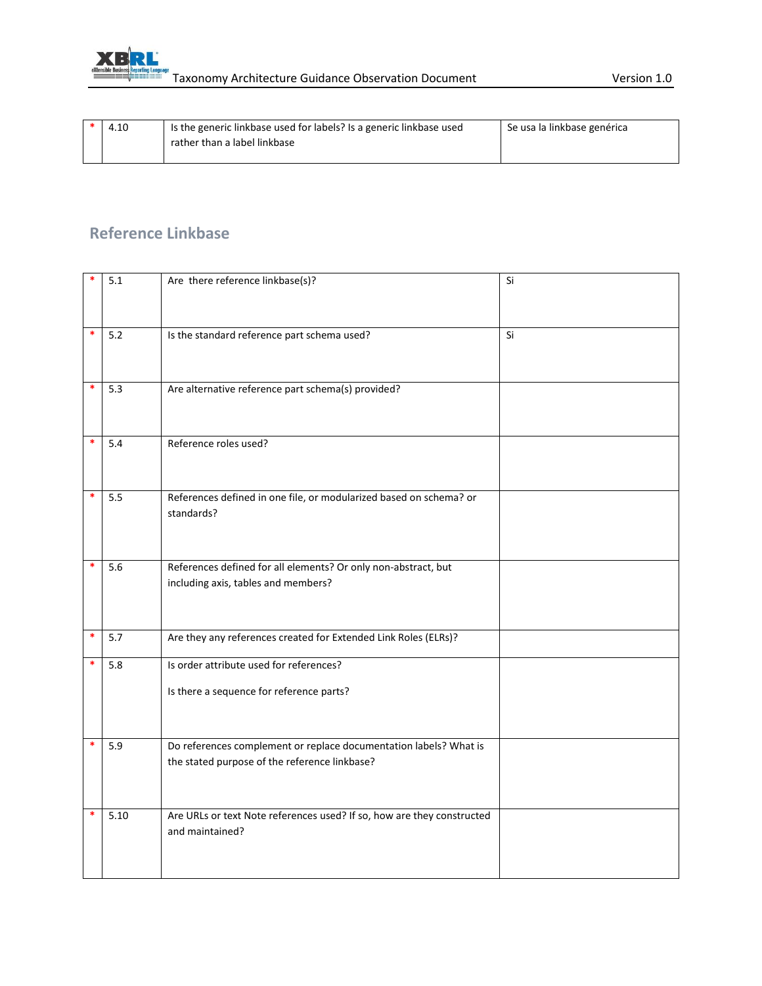

| 4.10 | Is the generic linkbase used for labels? Is a generic linkbase used | Se usa la linkbase genérica |
|------|---------------------------------------------------------------------|-----------------------------|
|      | rather than a label linkbase                                        |                             |
|      |                                                                     |                             |

#### **Reference Linkbase**

|        | 5.1  | Are there reference linkbase(s)?                                                                                   | Si |
|--------|------|--------------------------------------------------------------------------------------------------------------------|----|
| *      | 5.2  | Is the standard reference part schema used?                                                                        | Si |
| $\ast$ | 5.3  | Are alternative reference part schema(s) provided?                                                                 |    |
| *      | 5.4  | Reference roles used?                                                                                              |    |
| *      | 5.5  | References defined in one file, or modularized based on schema? or<br>standards?                                   |    |
| $\ast$ | 5.6  | References defined for all elements? Or only non-abstract, but<br>including axis, tables and members?              |    |
| $\ast$ | 5.7  | Are they any references created for Extended Link Roles (ELRs)?                                                    |    |
| $\ast$ | 5.8  | Is order attribute used for references?<br>Is there a sequence for reference parts?                                |    |
| $\ast$ | 5.9  | Do references complement or replace documentation labels? What is<br>the stated purpose of the reference linkbase? |    |
| *      | 5.10 | Are URLs or text Note references used? If so, how are they constructed<br>and maintained?                          |    |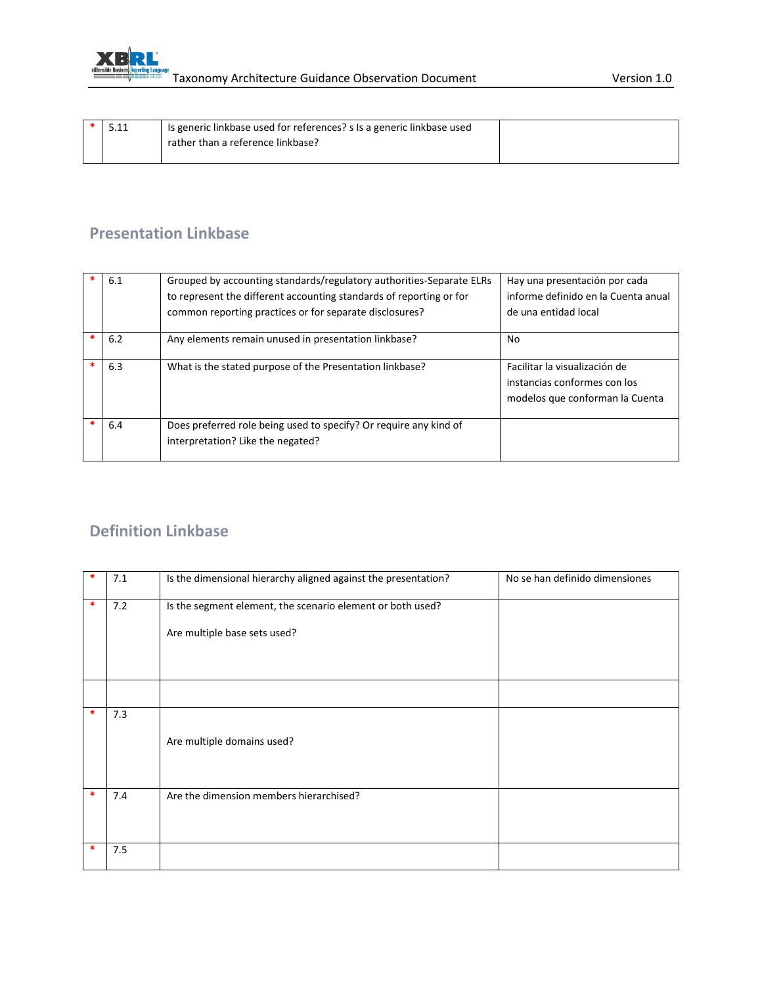

| ـ ـ ـ ـ ـ | Is generic linkbase used for references? s Is a generic linkbase used |  |
|-----------|-----------------------------------------------------------------------|--|
|           | rather than a reference linkbase?                                     |  |
|           |                                                                       |  |

#### **Presentation Linkbase**

| 6.1 | Grouped by accounting standards/regulatory authorities-Separate ELRs<br>to represent the different accounting standards of reporting or for<br>common reporting practices or for separate disclosures? | Hay una presentación por cada<br>informe definido en la Cuenta anual<br>de una entidad local     |
|-----|--------------------------------------------------------------------------------------------------------------------------------------------------------------------------------------------------------|--------------------------------------------------------------------------------------------------|
| 6.2 | Any elements remain unused in presentation linkbase?                                                                                                                                                   | No                                                                                               |
| 6.3 | What is the stated purpose of the Presentation linkbase?                                                                                                                                               | Facilitar la visualización de<br>instancias conformes con los<br>modelos que conforman la Cuenta |
| 6.4 | Does preferred role being used to specify? Or require any kind of<br>interpretation? Like the negated?                                                                                                 |                                                                                                  |

#### **Definition Linkbase**

| ∗      | 7.1 | Is the dimensional hierarchy aligned against the presentation? | No se han definido dimensiones |
|--------|-----|----------------------------------------------------------------|--------------------------------|
| $\ast$ | 7.2 | Is the segment element, the scenario element or both used?     |                                |
|        |     | Are multiple base sets used?                                   |                                |
|        |     |                                                                |                                |
|        |     |                                                                |                                |
| *      | 7.3 |                                                                |                                |
|        |     | Are multiple domains used?                                     |                                |
| *      | 7.4 | Are the dimension members hierarchised?                        |                                |
| ∗      | 7.5 |                                                                |                                |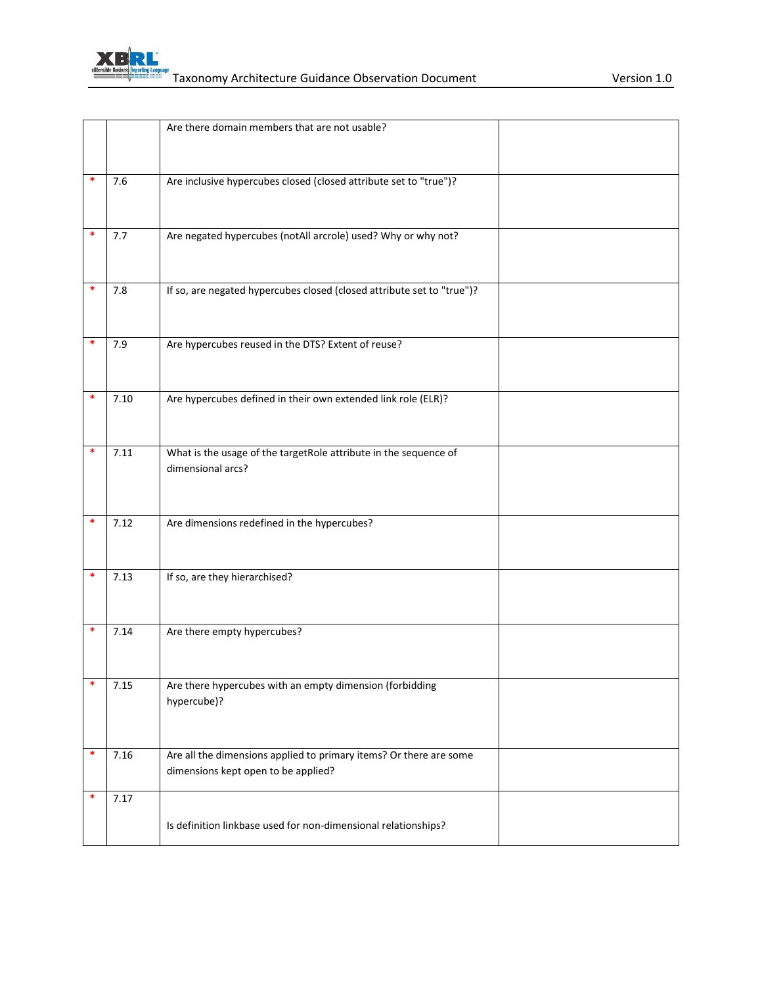

|   |      | Are there domain members that are not usable?                          |  |
|---|------|------------------------------------------------------------------------|--|
|   |      |                                                                        |  |
|   |      |                                                                        |  |
| * | 7.6  | Are inclusive hypercubes closed (closed attribute set to "true")?      |  |
|   |      |                                                                        |  |
|   |      |                                                                        |  |
| * | 7.7  | Are negated hypercubes (notAll arcrole) used? Why or why not?          |  |
|   |      |                                                                        |  |
|   |      |                                                                        |  |
| * | 7.8  | If so, are negated hypercubes closed (closed attribute set to "true")? |  |
|   |      |                                                                        |  |
|   |      |                                                                        |  |
| * | 7.9  | Are hypercubes reused in the DTS? Extent of reuse?                     |  |
|   |      |                                                                        |  |
|   |      |                                                                        |  |
|   | 7.10 | Are hypercubes defined in their own extended link role (ELR)?          |  |
|   |      |                                                                        |  |
|   |      |                                                                        |  |
|   | 7.11 | What is the usage of the targetRole attribute in the sequence of       |  |
|   |      | dimensional arcs?                                                      |  |
|   |      |                                                                        |  |
|   |      |                                                                        |  |
| * | 7.12 | Are dimensions redefined in the hypercubes?                            |  |
|   |      |                                                                        |  |
|   |      |                                                                        |  |
|   | 7.13 | If so, are they hierarchised?                                          |  |
|   |      |                                                                        |  |
|   |      |                                                                        |  |
|   | 7.14 | Are there empty hypercubes?                                            |  |
|   |      |                                                                        |  |
| * |      | Are there hypercubes with an empty dimension (forbidding               |  |
|   | 7.15 | hypercube)?                                                            |  |
|   |      |                                                                        |  |
|   |      |                                                                        |  |
| * | 7.16 | Are all the dimensions applied to primary items? Or there are some     |  |
|   |      | dimensions kept open to be applied?                                    |  |
|   |      |                                                                        |  |
| * | 7.17 |                                                                        |  |
|   |      | Is definition linkbase used for non-dimensional relationships?         |  |
|   |      |                                                                        |  |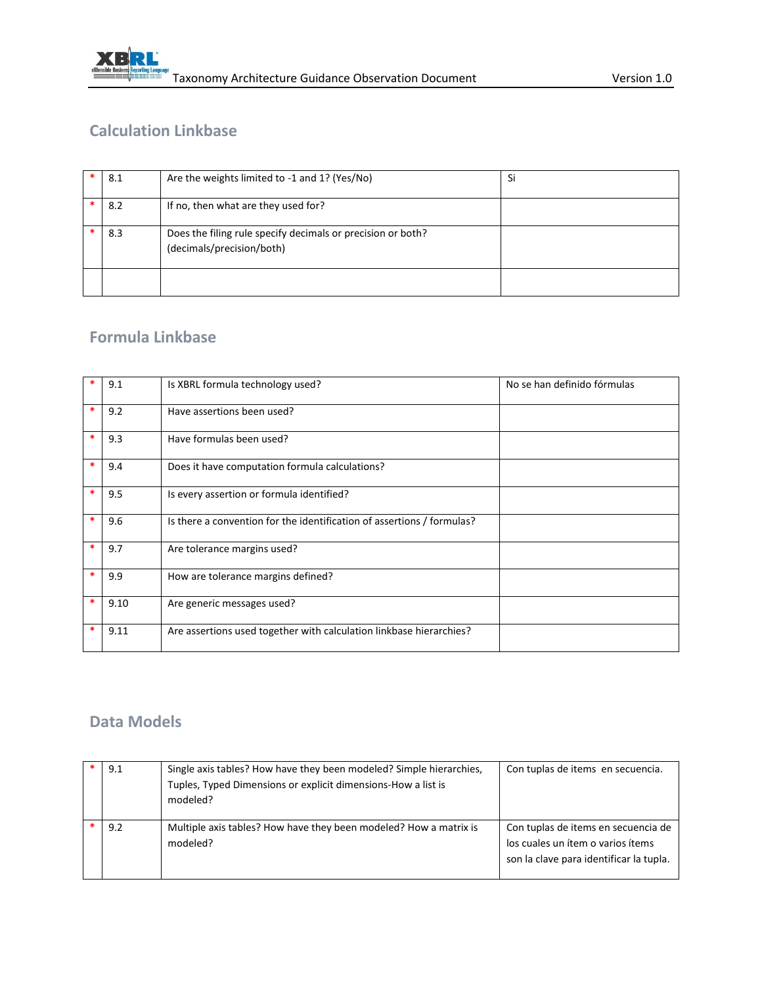

#### **Calculation Linkbase**

| 8.1 | Are the weights limited to -1 and 1? (Yes/No)                                            | Si |
|-----|------------------------------------------------------------------------------------------|----|
| 8.2 | If no, then what are they used for?                                                      |    |
| 8.3 | Does the filing rule specify decimals or precision or both?<br>(decimals/precision/both) |    |
|     |                                                                                          |    |

#### **Formula Linkbase**

|        | 9.1  | Is XBRL formula technology used?                                       | No se han definido fórmulas |
|--------|------|------------------------------------------------------------------------|-----------------------------|
| $\ast$ | 9.2  | Have assertions been used?                                             |                             |
| $\ast$ | 9.3  | Have formulas been used?                                               |                             |
| *      | 9.4  | Does it have computation formula calculations?                         |                             |
| *      | 9.5  | Is every assertion or formula identified?                              |                             |
| $\ast$ | 9.6  | Is there a convention for the identification of assertions / formulas? |                             |
| *      | 9.7  | Are tolerance margins used?                                            |                             |
| ∗      | 9.9  | How are tolerance margins defined?                                     |                             |
| *      | 9.10 | Are generic messages used?                                             |                             |
| *      | 9.11 | Are assertions used together with calculation linkbase hierarchies?    |                             |

#### **Data Models**

| 9.1 | Single axis tables? How have they been modeled? Simple hierarchies,<br>Tuples, Typed Dimensions or explicit dimensions-How a list is<br>modeled? | Con tuplas de items en secuencia.                                                                                   |
|-----|--------------------------------------------------------------------------------------------------------------------------------------------------|---------------------------------------------------------------------------------------------------------------------|
| 9.2 | Multiple axis tables? How have they been modeled? How a matrix is<br>modeled?                                                                    | Con tuplas de items en secuencia de<br>los cuales un ítem o varios ítems<br>son la clave para identificar la tupla. |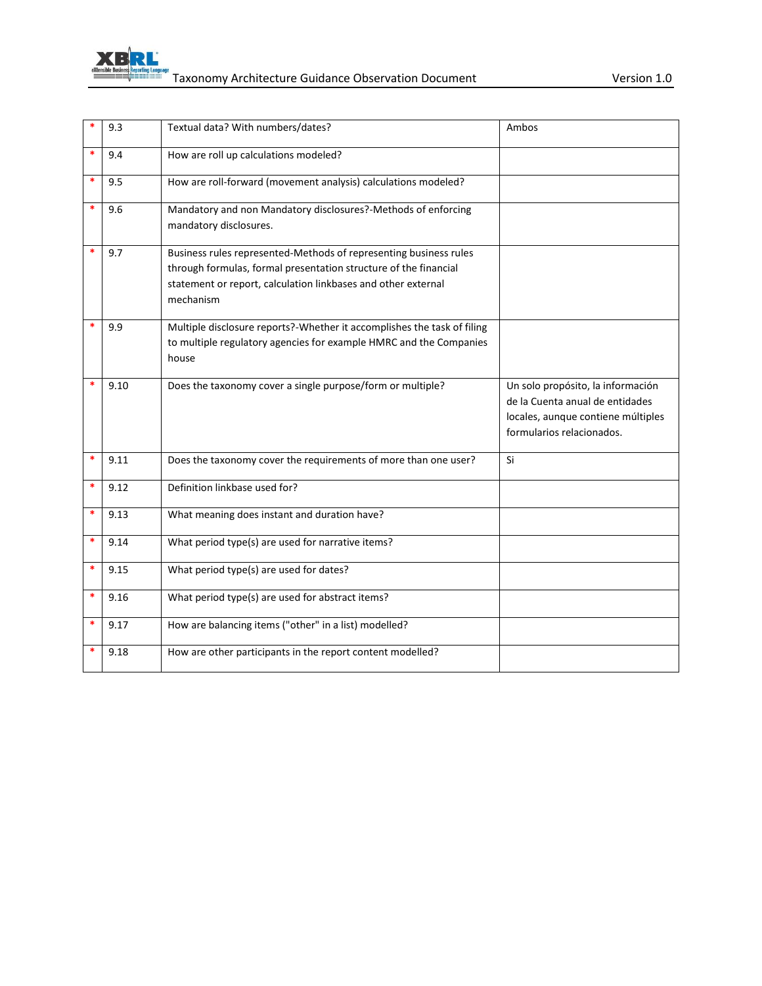

| *      | 9.3  | Textual data? With numbers/dates?                                                                                                                                                                                   | Ambos                                                                                                                                   |
|--------|------|---------------------------------------------------------------------------------------------------------------------------------------------------------------------------------------------------------------------|-----------------------------------------------------------------------------------------------------------------------------------------|
| $\ast$ | 9.4  | How are roll up calculations modeled?                                                                                                                                                                               |                                                                                                                                         |
| *      | 9.5  | How are roll-forward (movement analysis) calculations modeled?                                                                                                                                                      |                                                                                                                                         |
| *      | 9.6  | Mandatory and non Mandatory disclosures?-Methods of enforcing<br>mandatory disclosures.                                                                                                                             |                                                                                                                                         |
| $\ast$ | 9.7  | Business rules represented-Methods of representing business rules<br>through formulas, formal presentation structure of the financial<br>statement or report, calculation linkbases and other external<br>mechanism |                                                                                                                                         |
|        | 9.9  | Multiple disclosure reports?-Whether it accomplishes the task of filing<br>to multiple regulatory agencies for example HMRC and the Companies<br>house                                                              |                                                                                                                                         |
|        | 9.10 | Does the taxonomy cover a single purpose/form or multiple?                                                                                                                                                          | Un solo propósito, la información<br>de la Cuenta anual de entidades<br>locales, aunque contiene múltiples<br>formularios relacionados. |
| $\ast$ | 9.11 | Does the taxonomy cover the requirements of more than one user?                                                                                                                                                     | Si                                                                                                                                      |
| $\ast$ | 9.12 | Definition linkbase used for?                                                                                                                                                                                       |                                                                                                                                         |
| *      | 9.13 | What meaning does instant and duration have?                                                                                                                                                                        |                                                                                                                                         |
| $\ast$ | 9.14 | What period type(s) are used for narrative items?                                                                                                                                                                   |                                                                                                                                         |
| $\ast$ | 9.15 | What period type(s) are used for dates?                                                                                                                                                                             |                                                                                                                                         |
| $\ast$ | 9.16 | What period type(s) are used for abstract items?                                                                                                                                                                    |                                                                                                                                         |
| *      | 9.17 | How are balancing items ("other" in a list) modelled?                                                                                                                                                               |                                                                                                                                         |
|        | 9.18 | How are other participants in the report content modelled?                                                                                                                                                          |                                                                                                                                         |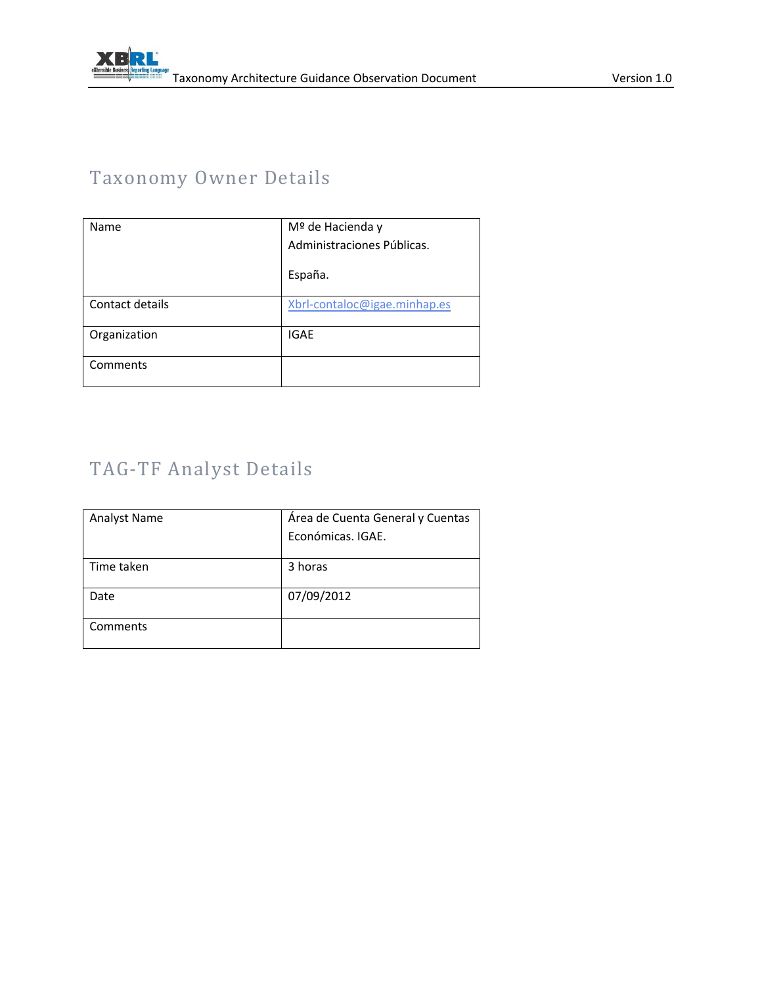# Taxonomy Owner Details

| Name            | Mº de Hacienda y             |
|-----------------|------------------------------|
|                 | Administraciones Públicas.   |
|                 | España.                      |
| Contact details | Xbrl-contaloc@igae.minhap.es |
| Organization    | <b>IGAE</b>                  |
| Comments        |                              |

# TAG-TF Analyst Details

| <b>Analyst Name</b> | Área de Cuenta General y Cuentas |
|---------------------|----------------------------------|
|                     | Económicas, IGAE.                |
|                     |                                  |
| Time taken          | 3 horas                          |
| Date                | 07/09/2012                       |
| Comments            |                                  |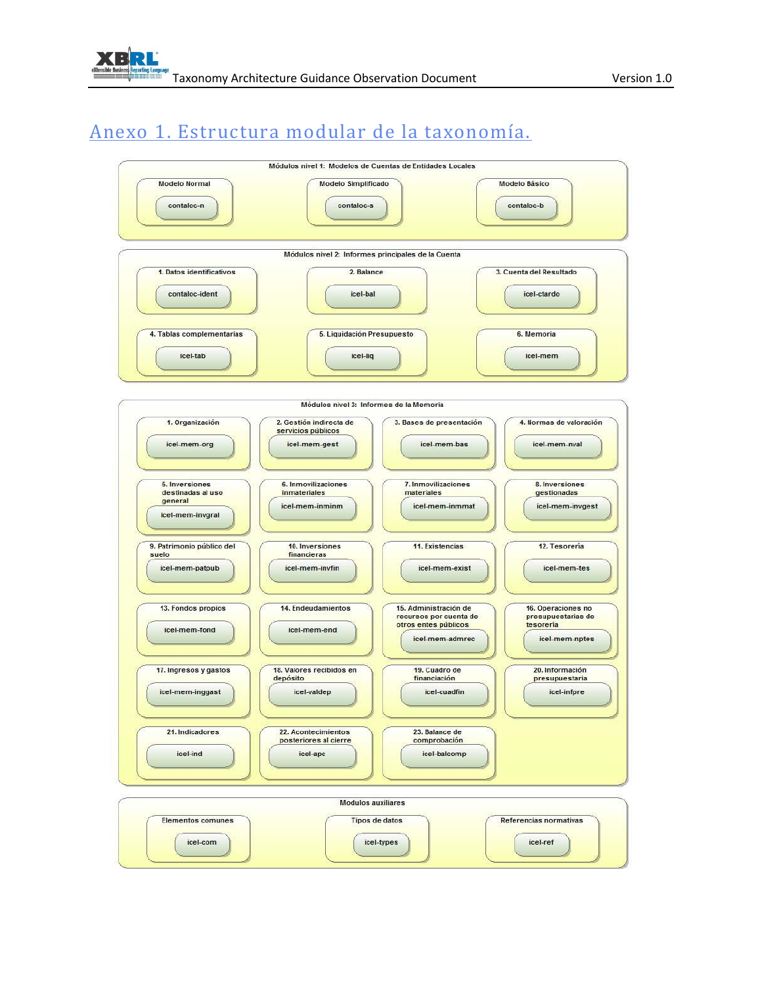# Anexo 1. Estructura modular de la taxonomía.